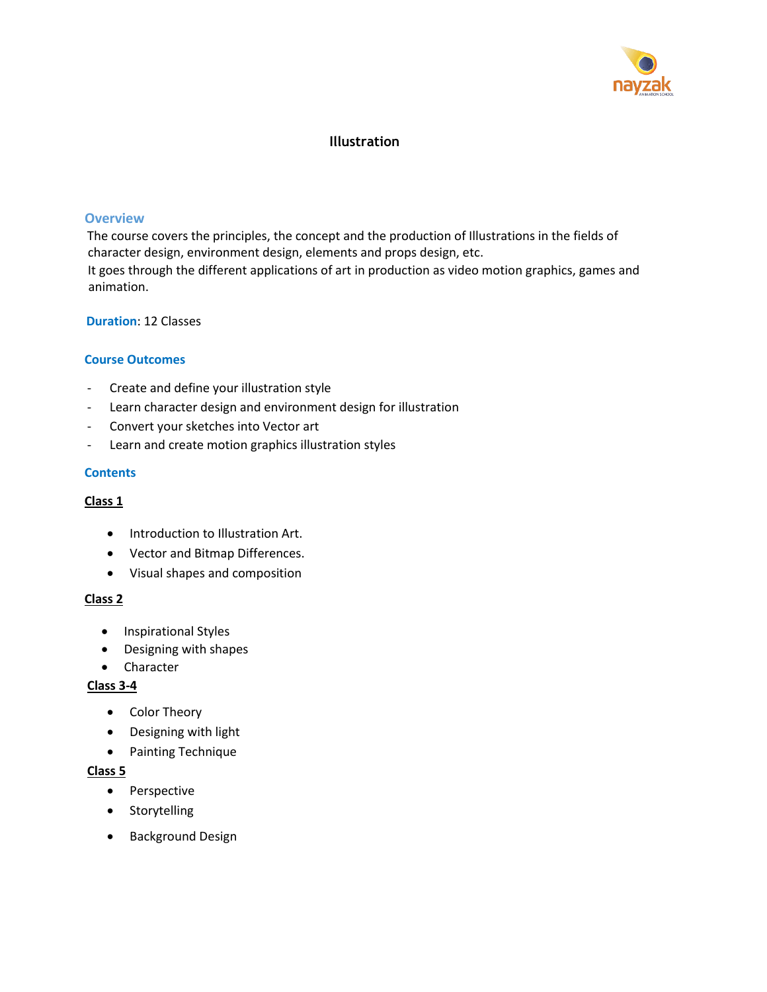

# **Illustration**

#### **Overview**

The course covers the principles, the concept and the production of Illustrations in the fields of character design, environment design, elements and props design, etc. It goes through the different applications of art in production as video motion graphics, games and animation.

### **Duration**: 12 Classes

### **Course Outcomes**

- Create and define your illustration style
- Learn character design and environment design for illustration
- Convert your sketches into Vector art
- Learn and create motion graphics illustration styles

### **Contents**

### **Class 1**

- Introduction to Illustration Art.
- Vector and Bitmap Differences.
- Visual shapes and composition

#### **Class 2**

- Inspirational Styles
- Designing with shapes
- Character

#### **Class 3-4**

- Color Theory
- Designing with light
- Painting Technique

#### **Class 5**

- Perspective
- Storytelling
- Background Design